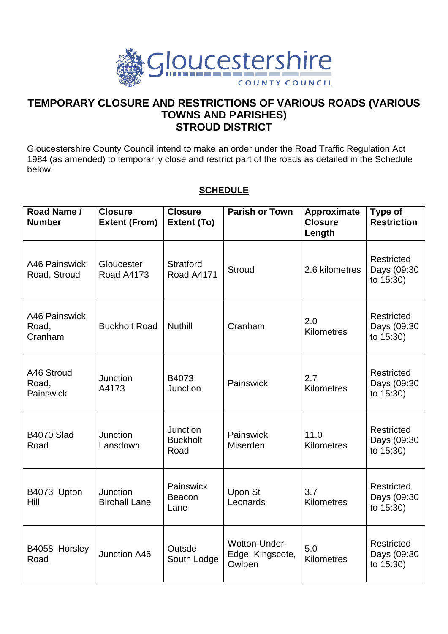

## **TEMPORARY CLOSURE AND RESTRICTIONS OF VARIOUS ROADS (VARIOUS TOWNS AND PARISHES) STROUD DISTRICT**

Gloucestershire County Council intend to make an order under the Road Traffic Regulation Act 1984 (as amended) to temporarily close and restrict part of the roads as detailed in the Schedule below.

## **SCHEDULE**

| Road Name /<br><b>Number</b>      | <b>Closure</b><br><b>Extent (From)</b> | <b>Closure</b><br>Extent (To)         | <b>Parish or Town</b>                       | Approximate<br><b>Closure</b><br>Length | Type of<br><b>Restriction</b>          |
|-----------------------------------|----------------------------------------|---------------------------------------|---------------------------------------------|-----------------------------------------|----------------------------------------|
| A46 Painswick<br>Road, Stroud     | Gloucester<br><b>Road A4173</b>        | <b>Stratford</b><br><b>Road A4171</b> | <b>Stroud</b>                               | 2.6 kilometres                          | Restricted<br>Days (09:30<br>to 15:30) |
| A46 Painswick<br>Road,<br>Cranham | <b>Buckholt Road</b>                   | <b>Nuthill</b>                        | Cranham                                     | 2.0<br><b>Kilometres</b>                | Restricted<br>Days (09:30<br>to 15:30) |
| A46 Stroud<br>Road,<br>Painswick  | Junction<br>A4173                      | B4073<br>Junction                     | Painswick                                   | 2.7<br><b>Kilometres</b>                | Restricted<br>Days (09:30<br>to 15:30) |
| <b>B4070 Slad</b><br>Road         | Junction<br>Lansdown                   | Junction<br><b>Buckholt</b><br>Road   | Painswick,<br>Miserden                      | 11.0<br><b>Kilometres</b>               | Restricted<br>Days (09:30<br>to 15:30) |
| B4073 Upton<br>Hill               | Junction<br><b>Birchall Lane</b>       | Painswick<br>Beacon<br>Lane           | Upon St<br>Leonards                         | 3.7<br><b>Kilometres</b>                | Restricted<br>Days (09:30<br>to 15:30) |
| B4058 Horsley<br>Road             | Junction A46                           | Outsde<br>South Lodge                 | Wotton-Under-<br>Edge, Kingscote,<br>Owlpen | 5.0<br>Kilometres                       | Restricted<br>Days (09:30<br>to 15:30) |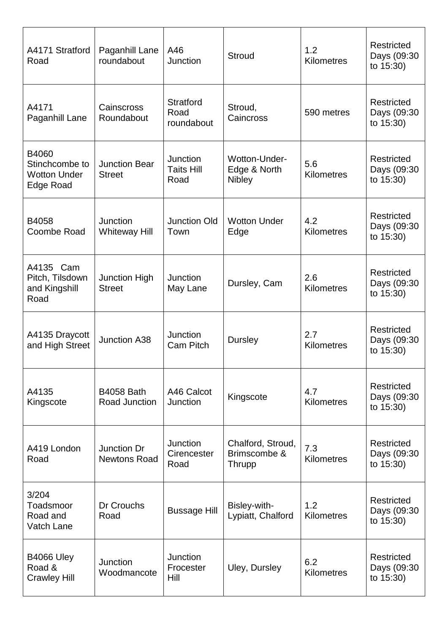| A4171 Stratford<br>Road                                     | Paganhill Lane<br>roundabout            | A46<br><b>Junction</b>                 | <b>Stroud</b>                                  | 1.2<br><b>Kilometres</b> | <b>Restricted</b><br>Days (09:30<br>to 15:30) |
|-------------------------------------------------------------|-----------------------------------------|----------------------------------------|------------------------------------------------|--------------------------|-----------------------------------------------|
| A4171<br>Paganhill Lane                                     | Cainscross<br>Roundabout                | <b>Stratford</b><br>Road<br>roundabout | Stroud,<br>Caincross                           | 590 metres               | Restricted<br>Days (09:30<br>to 15:30)        |
| B4060<br>Stinchcombe to<br><b>Wotton Under</b><br>Edge Road | <b>Junction Bear</b><br><b>Street</b>   | Junction<br><b>Taits Hill</b><br>Road  | Wotton-Under-<br>Edge & North<br><b>Nibley</b> | 5.6<br><b>Kilometres</b> | Restricted<br>Days (09:30<br>to 15:30)        |
| B4058<br>Coombe Road                                        | <b>Junction</b><br><b>Whiteway Hill</b> | <b>Junction Old</b><br>Town            | <b>Wotton Under</b><br>Edge                    | 4.2<br><b>Kilometres</b> | Restricted<br>Days (09:30<br>to 15:30)        |
| A4135 Cam<br>Pitch, Tilsdown<br>and Kingshill<br>Road       | <b>Junction High</b><br><b>Street</b>   | Junction<br>May Lane                   | Dursley, Cam                                   | 2.6<br><b>Kilometres</b> | Restricted<br>Days (09:30<br>to 15:30)        |
| A4135 Draycott<br>and High Street                           | <b>Junction A38</b>                     | <b>Junction</b><br>Cam Pitch           | <b>Dursley</b>                                 | 2.7<br><b>Kilometres</b> | <b>Restricted</b><br>Days (09:30<br>to 15:30) |
| A4135<br>Kingscote                                          | <b>B4058 Bath</b><br>Road Junction      | A46 Calcot<br>Junction                 | Kingscote                                      | 4.7<br>Kilometres        | Restricted<br>Days (09:30<br>to 15:30)        |
| A419 London<br>Road                                         | Junction Dr<br><b>Newtons Road</b>      | <b>Junction</b><br>Cirencester<br>Road | Chalford, Stroud,<br>Brimscombe &<br>Thrupp    | 7.3<br><b>Kilometres</b> | <b>Restricted</b><br>Days (09:30<br>to 15:30) |
| 3/204<br>Toadsmoor<br>Road and<br>Vatch Lane                | Dr Crouchs<br>Road                      | <b>Bussage Hill</b>                    | Bisley-with-<br>Lypiatt, Chalford              | 1.2<br><b>Kilometres</b> | Restricted<br>Days (09:30<br>to 15:30)        |
| <b>B4066 Uley</b><br>Road &<br><b>Crawley Hill</b>          | Junction<br>Woodmancote                 | <b>Junction</b><br>Frocester<br>Hill   | Uley, Dursley                                  | 6.2<br><b>Kilometres</b> | Restricted<br>Days (09:30<br>to 15:30)        |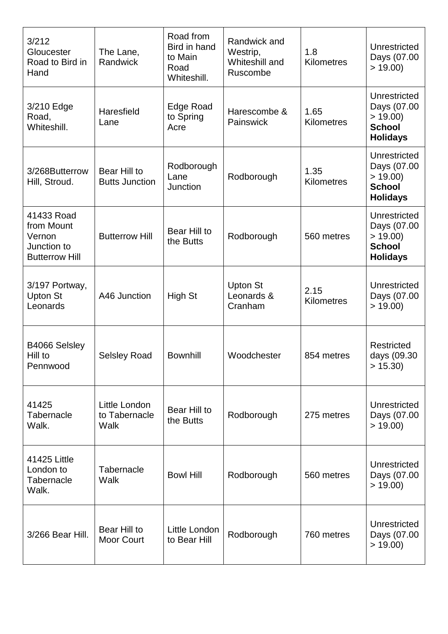| 3/212<br>Gloucester<br>Road to Bird in<br>Hand                             | The Lane,<br>Randwick                  | Road from<br>Bird in hand<br>to Main<br>Road<br>Whiteshill. | Randwick and<br>Westrip,<br>Whiteshill and<br>Ruscombe | 1.8<br><b>Kilometres</b>  | Unrestricted<br>Days (07.00<br>> 19.00                                     |
|----------------------------------------------------------------------------|----------------------------------------|-------------------------------------------------------------|--------------------------------------------------------|---------------------------|----------------------------------------------------------------------------|
| 3/210 Edge<br>Road,<br>Whiteshill.                                         | Haresfield<br>Lane                     | Edge Road<br>to Spring<br>Acre                              | Harescombe &<br>Painswick                              | 1.65<br><b>Kilometres</b> | Unrestricted<br>Days (07.00<br>> 19.00<br><b>School</b><br><b>Holidays</b> |
| 3/268Butterrow<br>Hill, Stroud.                                            | Bear Hill to<br><b>Butts Junction</b>  | Rodborough<br>Lane<br>Junction                              | Rodborough                                             | 1.35<br><b>Kilometres</b> | Unrestricted<br>Days (07.00<br>> 19.00<br><b>School</b><br><b>Holidays</b> |
| 41433 Road<br>from Mount<br>Vernon<br>Junction to<br><b>Butterrow Hill</b> | <b>Butterrow Hill</b>                  | Bear Hill to<br>the Butts                                   | Rodborough                                             | 560 metres                | Unrestricted<br>Days (07.00<br>> 19.00<br><b>School</b><br><b>Holidays</b> |
| 3/197 Portway,<br><b>Upton St</b><br>Leonards                              | A46 Junction                           | High St                                                     | <b>Upton St</b><br>Leonards &<br>Cranham               | 2.15<br>Kilometres        | Unrestricted<br>Days (07.00<br>> 19.00                                     |
| B4066 Selsley<br>Hill to<br>Pennwood                                       | <b>Selsley Road</b>                    | <b>Bownhill</b>                                             | Woodchester                                            | 854 metres                | Restricted<br>days (09.30<br>> 15.30                                       |
| 41425<br>Tabernacle<br>Walk.                                               | Little London<br>to Tabernacle<br>Walk | Bear Hill to<br>the Butts                                   | Rodborough                                             | 275 metres                | Unrestricted<br>Days (07.00<br>> 19.00                                     |
| 41425 Little<br>London to<br>Tabernacle<br>Walk.                           | Tabernacle<br>Walk                     | <b>Bowl Hill</b>                                            | Rodborough                                             | 560 metres                | Unrestricted<br>Days (07.00<br>> 19.00                                     |
| 3/266 Bear Hill.                                                           | Bear Hill to<br><b>Moor Court</b>      | Little London<br>to Bear Hill                               | Rodborough                                             | 760 metres                | Unrestricted<br>Days (07.00<br>> 19.00                                     |